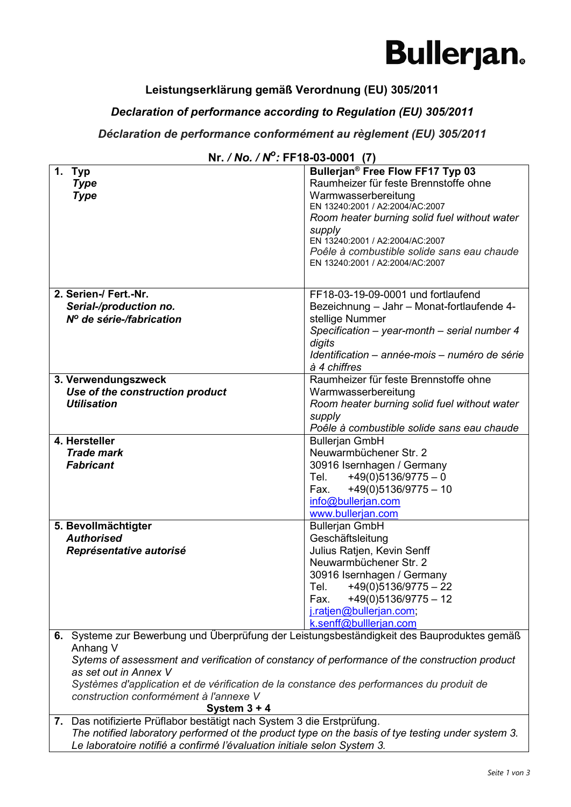### **Bullerjan.**

#### **Leistungserklärung gemäß Verordnung (EU) 305/2011**

#### *Declaration of performance according to Regulation (EU) 305/2011*

#### *Déclaration de performance conformément au règlement (EU) 305/2011*

| 1. Typ                                                                                                                             | Bullerjan <sup>®</sup> Free Flow FF17 Typ 03  |  |
|------------------------------------------------------------------------------------------------------------------------------------|-----------------------------------------------|--|
| <b>Type</b>                                                                                                                        | Raumheizer für feste Brennstoffe ohne         |  |
| <b>Type</b>                                                                                                                        | Warmwasserbereitung                           |  |
|                                                                                                                                    | EN 13240:2001 / A2:2004/AC:2007               |  |
|                                                                                                                                    | Room heater burning solid fuel without water  |  |
|                                                                                                                                    | supply                                        |  |
|                                                                                                                                    | EN 13240:2001 / A2:2004/AC:2007               |  |
|                                                                                                                                    | Poêle à combustible solide sans eau chaude    |  |
|                                                                                                                                    | EN 13240:2001 / A2:2004/AC:2007               |  |
|                                                                                                                                    |                                               |  |
|                                                                                                                                    |                                               |  |
| 2. Serien-/ Fert.-Nr.                                                                                                              | FF18-03-19-09-0001 und fortlaufend            |  |
| Serial-/production no.                                                                                                             | Bezeichnung - Jahr - Monat-fortlaufende 4-    |  |
| Nº de série-/fabrication                                                                                                           | stellige Nummer                               |  |
|                                                                                                                                    | Specification - year-month - serial number 4  |  |
|                                                                                                                                    |                                               |  |
|                                                                                                                                    | digits                                        |  |
|                                                                                                                                    | Identification - année-mois - numéro de série |  |
|                                                                                                                                    | à 4 chiffres                                  |  |
| 3. Verwendungszweck                                                                                                                | Raumheizer für feste Brennstoffe ohne         |  |
| Use of the construction product                                                                                                    | Warmwasserbereitung                           |  |
| <b>Utilisation</b>                                                                                                                 | Room heater burning solid fuel without water  |  |
|                                                                                                                                    | supply                                        |  |
|                                                                                                                                    | Poêle à combustible solide sans eau chaude    |  |
| 4. Hersteller                                                                                                                      | <b>Bullerjan GmbH</b>                         |  |
| <b>Trade mark</b>                                                                                                                  | Neuwarmbüchener Str. 2                        |  |
| <b>Fabricant</b>                                                                                                                   | 30916 Isernhagen / Germany                    |  |
|                                                                                                                                    | $+49(0)5136/9775 - 0$<br>Tel.                 |  |
|                                                                                                                                    | $+49(0)5136/9775 - 10$<br>Fax.                |  |
|                                                                                                                                    | info@bullerjan.com                            |  |
|                                                                                                                                    | www.bullerjan.com                             |  |
|                                                                                                                                    |                                               |  |
| 5. Bevollmächtigter                                                                                                                | <b>Bullerjan GmbH</b>                         |  |
| <b>Authorised</b>                                                                                                                  | Geschäftsleitung                              |  |
| Représentative autorisé                                                                                                            | Julius Ratjen, Kevin Senff                    |  |
|                                                                                                                                    | Neuwarmbüchener Str. 2                        |  |
|                                                                                                                                    | 30916 Isernhagen / Germany                    |  |
|                                                                                                                                    | Tel.<br>$+49(0)5136/9775 - 22$                |  |
|                                                                                                                                    | $+49(0)5136/9775 - 12$<br>Fax.                |  |
|                                                                                                                                    | j.ratjen@bullerjan.com;                       |  |
|                                                                                                                                    | k.senff@bulllerjan.com                        |  |
| 6. Systeme zur Bewerbung und Überprüfung der Leistungsbeständigkeit des Bauproduktes gemäß                                         |                                               |  |
| Anhang V                                                                                                                           |                                               |  |
| Sytems of assessment and verification of constancy of performance of the construction product                                      |                                               |  |
| as set out in Annex V                                                                                                              |                                               |  |
|                                                                                                                                    |                                               |  |
| Systèmes d'application et de vérification de la constance des performances du produit de<br>construction conformément à l'annexe V |                                               |  |
| System $3 + 4$                                                                                                                     |                                               |  |
|                                                                                                                                    |                                               |  |
| 7. Das notifizierte Prüflabor bestätigt nach System 3 die Erstprüfung.                                                             |                                               |  |
| The notified laboratory performed ot the product type on the basis of tye testing under system 3.                                  |                                               |  |
| Le laboratoire notifié a confirmé l'évaluation initiale selon System 3.                                                            |                                               |  |

**Nr.** */ No. / No :* **FF18-03-0001 (7)**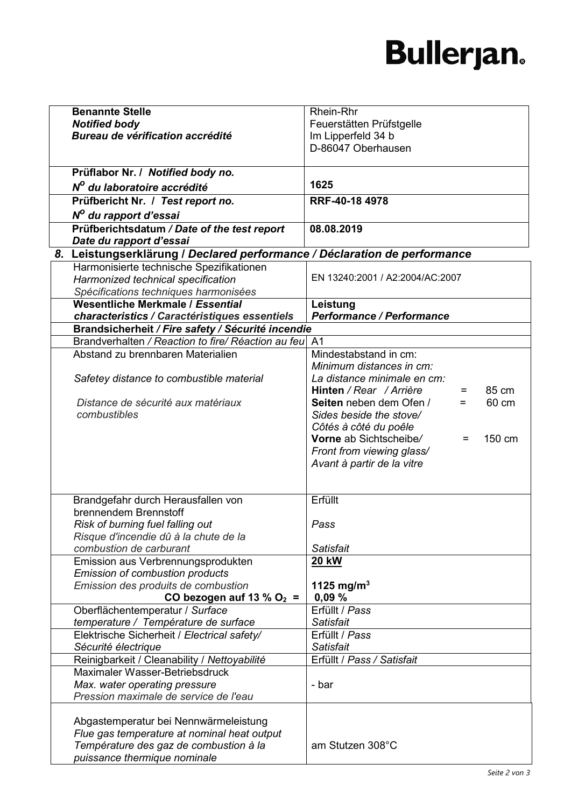## **Bullerjan.**

| Rhein-Rhr<br><b>Notified body</b><br>Feuerstätten Prüfstgelle<br>Bureau de vérification accrédité<br>Im Lipperfeld 34 b<br>D-86047 Oberhausen<br>Prüflabor Nr. / Notified body no.<br>1625<br>Nº du laboratoire accrédité<br>Prüfbericht Nr. / Test report no.<br>RRF-40-18 4978<br>Nº du rapport d'essai<br>Prüfberichtsdatum / Date of the test report<br>08.08.2019<br>Date du rapport d'essai<br>Leistungserklärung / Declared performance / Déclaration de performance<br>8. |
|-----------------------------------------------------------------------------------------------------------------------------------------------------------------------------------------------------------------------------------------------------------------------------------------------------------------------------------------------------------------------------------------------------------------------------------------------------------------------------------|
|                                                                                                                                                                                                                                                                                                                                                                                                                                                                                   |
|                                                                                                                                                                                                                                                                                                                                                                                                                                                                                   |
|                                                                                                                                                                                                                                                                                                                                                                                                                                                                                   |
|                                                                                                                                                                                                                                                                                                                                                                                                                                                                                   |
|                                                                                                                                                                                                                                                                                                                                                                                                                                                                                   |
|                                                                                                                                                                                                                                                                                                                                                                                                                                                                                   |
|                                                                                                                                                                                                                                                                                                                                                                                                                                                                                   |
|                                                                                                                                                                                                                                                                                                                                                                                                                                                                                   |
|                                                                                                                                                                                                                                                                                                                                                                                                                                                                                   |
|                                                                                                                                                                                                                                                                                                                                                                                                                                                                                   |
|                                                                                                                                                                                                                                                                                                                                                                                                                                                                                   |
| Harmonisierte technische Spezifikationen                                                                                                                                                                                                                                                                                                                                                                                                                                          |
| EN 13240:2001 / A2:2004/AC:2007<br>Harmonized technical specification                                                                                                                                                                                                                                                                                                                                                                                                             |
| Spécifications techniques harmonisées                                                                                                                                                                                                                                                                                                                                                                                                                                             |
| Wesentliche Merkmale / Essential<br>Leistung                                                                                                                                                                                                                                                                                                                                                                                                                                      |
| <b>Performance / Performance</b><br>characteristics / Caractéristiques essentiels                                                                                                                                                                                                                                                                                                                                                                                                 |
| Brandsicherheit / Fire safety / Sécurité incendie                                                                                                                                                                                                                                                                                                                                                                                                                                 |
| Brandverhalten / Reaction to fire/ Réaction au feu<br>A <sub>1</sub>                                                                                                                                                                                                                                                                                                                                                                                                              |
| Mindestabstand in cm:<br>Abstand zu brennbaren Materialien                                                                                                                                                                                                                                                                                                                                                                                                                        |
| Minimum distances in cm:                                                                                                                                                                                                                                                                                                                                                                                                                                                          |
| La distance minimale en cm:<br>Safetey distance to combustible material                                                                                                                                                                                                                                                                                                                                                                                                           |
| Hinten / Rear / Arrière<br>85 cm<br>$=$                                                                                                                                                                                                                                                                                                                                                                                                                                           |
| Distance de sécurité aux matériaux<br>Seiten neben dem Ofen /<br>60 cm<br>$=$                                                                                                                                                                                                                                                                                                                                                                                                     |
| combustibles<br>Sides beside the stove/                                                                                                                                                                                                                                                                                                                                                                                                                                           |
| Côtés à côté du poêle                                                                                                                                                                                                                                                                                                                                                                                                                                                             |
| Vorne ab Sichtscheibe/<br>150 cm<br>Ξ                                                                                                                                                                                                                                                                                                                                                                                                                                             |
| Front from viewing glass/                                                                                                                                                                                                                                                                                                                                                                                                                                                         |
| Avant à partir de la vitre                                                                                                                                                                                                                                                                                                                                                                                                                                                        |
|                                                                                                                                                                                                                                                                                                                                                                                                                                                                                   |
| Erfüllt<br>Brandgefahr durch Herausfallen von                                                                                                                                                                                                                                                                                                                                                                                                                                     |
| brennendem Brennstoff                                                                                                                                                                                                                                                                                                                                                                                                                                                             |
| Risk of burning fuel falling out<br>Pass                                                                                                                                                                                                                                                                                                                                                                                                                                          |
| Risque d'incendie dû à la chute de la                                                                                                                                                                                                                                                                                                                                                                                                                                             |
| combustion de carburant<br><b>Satisfait</b>                                                                                                                                                                                                                                                                                                                                                                                                                                       |
| Emission aus Verbrennungsprodukten<br><b>20 kW</b>                                                                                                                                                                                                                                                                                                                                                                                                                                |
| <b>Emission of combustion products</b>                                                                                                                                                                                                                                                                                                                                                                                                                                            |
| Emission des produits de combustion<br>1125 mg/m <sup>3</sup>                                                                                                                                                                                                                                                                                                                                                                                                                     |
| CO bezogen auf 13 % $O_2$ =<br>0,09%                                                                                                                                                                                                                                                                                                                                                                                                                                              |
| Oberflächentemperatur / Surface<br>Erfüllt / Pass                                                                                                                                                                                                                                                                                                                                                                                                                                 |
| temperature / Température de surface<br><b>Satisfait</b>                                                                                                                                                                                                                                                                                                                                                                                                                          |
| Elektrische Sicherheit / Electrical safety/<br>Erfüllt / Pass                                                                                                                                                                                                                                                                                                                                                                                                                     |
| Sécurité électrique<br><b>Satisfait</b>                                                                                                                                                                                                                                                                                                                                                                                                                                           |
| Reinigbarkeit / Cleanability / Nettoyabilité<br>Erfüllt / Pass / Satisfait                                                                                                                                                                                                                                                                                                                                                                                                        |
| Maximaler Wasser-Betriebsdruck                                                                                                                                                                                                                                                                                                                                                                                                                                                    |
| Max. water operating pressure<br>- bar                                                                                                                                                                                                                                                                                                                                                                                                                                            |
| Pression maximale de service de l'eau                                                                                                                                                                                                                                                                                                                                                                                                                                             |
| Abgastemperatur bei Nennwärmeleistung                                                                                                                                                                                                                                                                                                                                                                                                                                             |
| Flue gas temperature at nominal heat output                                                                                                                                                                                                                                                                                                                                                                                                                                       |
| Température des gaz de combustion à la<br>am Stutzen 308°C                                                                                                                                                                                                                                                                                                                                                                                                                        |
| puissance thermique nominale                                                                                                                                                                                                                                                                                                                                                                                                                                                      |